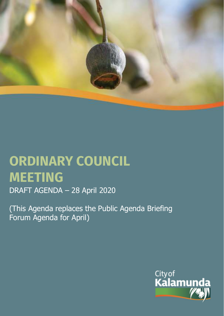

# **ORDINARY COUNCIL MEETING**  DRAFT AGENDA – 28 April 2020

(This Agenda replaces the Public Agenda Briefing Forum Agenda for April)

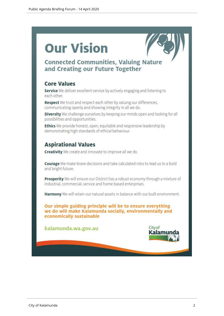# **Our Vision**



# **Connected Communities, Valuing Nature** and Creating our Future Together

# **Core Values**

Service We deliver excellent service by actively engaging and listening to each other.

Respect We trust and respect each other by valuing our differences, communicating openly and showing integrity in all we do.

Diversity We challenge ourselves by keeping our minds open and looking for all possibilities and opportunities.

Ethics We provide honest, open, equitable and responsive leadership by demonstrating high standards of ethical behaviour.

# **Aspirational Values**

**Creativity** We create and innovate to improve all we do.

Courage We make brave decisions and take calculated risks to lead us to a bold and bright future.

Prosperity We will ensure our District has a robust economy through a mixture of industrial, commercial, service and home based enterprises.

Harmony We will retain our natural assets in balance with our built environment.

Our simple guiding principle will be to ensure everything we do will make Kalamunda socially, environmentally and economically sustainable

kalamunda.wa.gov.au

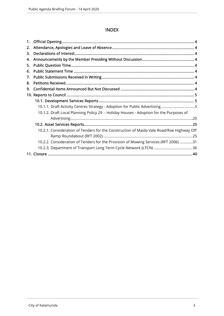#### INDEX

| 2. |                                                                                          |  |
|----|------------------------------------------------------------------------------------------|--|
| 3. |                                                                                          |  |
| 4. |                                                                                          |  |
| 5. |                                                                                          |  |
| 6. |                                                                                          |  |
| 7. |                                                                                          |  |
| 8. |                                                                                          |  |
| 9. |                                                                                          |  |
|    |                                                                                          |  |
|    |                                                                                          |  |
|    | 10.1.1. Draft Activity Centres Strategy - Adoption for Public Advertising5               |  |
|    | 10.1.2. Draft Local Planning Policy 29 - Holiday Houses - Adoption for the Purposes of   |  |
|    |                                                                                          |  |
|    |                                                                                          |  |
|    | 10.2.1. Consideration of Tenders for the Construction of Maida Vale Road/Roe Highway Off |  |
|    |                                                                                          |  |
|    | 10.2.2. Consideration of Tenders for the Provision of Mowing Services (RFT 2006) 31      |  |
|    |                                                                                          |  |
|    |                                                                                          |  |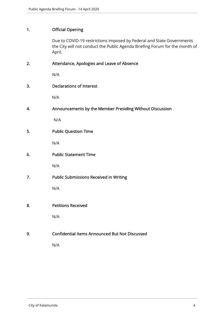## 1. Official Opening

Due to COVID-19 restrictions imposed by Federal and State Governments the City will not conduct the Public Agenda Briefing Forum for the month of April.

| 2. | Attendance, Apologies and Leave of Absence               |
|----|----------------------------------------------------------|
|    | N/A                                                      |
| 3. | <b>Declarations of Interest</b>                          |
|    | N/A                                                      |
| 4. | Announcements by the Member Presiding Without Discussion |
|    | N/A                                                      |
| 5. | <b>Public Question Time</b>                              |
|    | N/A                                                      |
| 6. | <b>Public Statement Time</b>                             |
|    | N/A                                                      |
| 7. | Public Submissions Received in Writing                   |
|    | N/A                                                      |
|    |                                                          |
| 8. | <b>Petitions Received</b>                                |
|    | N/A                                                      |
| 9. | <b>Confidential Items Announced But Not Discussed</b>    |
|    | N/A                                                      |
|    |                                                          |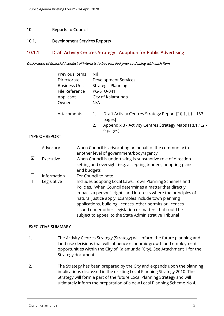#### 10. Reports to Council

#### 10.1. Development Services Reports

#### 10.1.1. Draft Activity Centres Strategy - Adoption for Public Advertising

#### Declaration of financial / conflict of interests to be recorded prior to dealing with each item.

|                       |                       | Applicant<br>Owner | Previous Items<br>Directorate<br><b>Business Unit</b><br>File Reference |    | <b>Development Services</b><br><b>Strategic Planning</b><br><b>PG-STU-041</b><br>City of Kalamunda                                                                                                                                                                                                                                                                                                                                 |
|-----------------------|-----------------------|--------------------|-------------------------------------------------------------------------|----|------------------------------------------------------------------------------------------------------------------------------------------------------------------------------------------------------------------------------------------------------------------------------------------------------------------------------------------------------------------------------------------------------------------------------------|
|                       |                       | Attachments        |                                                                         | 1. | Draft Activity Centres Strategy Report [10.1.1.1 - 153<br>pages]                                                                                                                                                                                                                                                                                                                                                                   |
|                       |                       |                    |                                                                         | 2. | Appendix 3 - Activity Centres Strategy Maps [10.1.1.2 -<br>9 pages]                                                                                                                                                                                                                                                                                                                                                                |
|                       | <b>TYPE OF REPORT</b> |                    |                                                                         |    |                                                                                                                                                                                                                                                                                                                                                                                                                                    |
| $\Box$                | Advocacy              |                    |                                                                         |    | When Council is advocating on behalf of the community to<br>another level of government/body/agency                                                                                                                                                                                                                                                                                                                                |
| ☑                     | Executive             |                    | and budgets                                                             |    | When Council is undertaking is substantive role of direction<br>setting and oversight (e.g. accepting tenders, adopting plans                                                                                                                                                                                                                                                                                                      |
| $\Box$                | Information           |                    | For Council to note                                                     |    |                                                                                                                                                                                                                                                                                                                                                                                                                                    |
| Legislative<br>$\Box$ |                       |                    |                                                                         |    | Includes adopting Local Laws, Town Planning Schemes and<br>Policies. When Council determines a matter that directly<br>impacts a person's rights and interests where the principles of<br>natural justice apply. Examples include town planning<br>applications, building licences, other permits or licences<br>issued under other Legislation or matters that could be<br>subject to appeal to the State Administrative Tribunal |

#### EXECUTIVE SUMMARY

- 1. The Activity Centres Strategy (Strategy) will inform the future planning and land use decisions that will influence economic growth and employment opportunities within the City of Kalamunda (City). See Attachment 1 for the Strategy document.
- 2. The Strategy has been prepared by the City and expands upon the planning implications discussed in the existing Local Planning Strategy 2010. The Strategy will form a part of the future Local Planning Strategy and will ultimately inform the preparation of a new Local Planning Scheme No 4.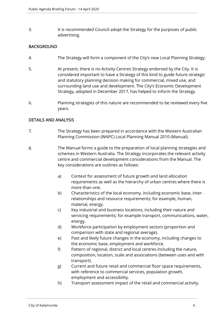3. It is recommended Council adopt the Strategy for the purposes of public advertising.

#### **BACKGROUND**

- 4. The Strategy will form a component of the City's new Local Planning Strategy.
- 5. At present, there is no Activity Centres Strategy endorsed by the City. It is considered important to have a Strategy of this kind to guide future strategic and statutory planning decision making for commercial, mixed use, and surrounding land use and development. The City's Economic Development Strategy, adopted in December 2017, has helped to inform the Strategy.
- 6. Planning strategies of this nature are recommended to be reviewed every five years.

#### DETAILS AND ANALYSIS

- 7. The Strategy has been prepared in accordance with the Western Australian Planning Commission (WAPC) Local Planning Manual 2010 (Manual).
- 8. The Manual forms a guide to the preparation of local planning strategies and schemes in Western Australia. The Strategy incorporates the relevant activity centre and commercial development considerations from the Manual. The key considerations are outlines as follows:
	- a) Context for assessment of future growth and land allocation requirements as well as the hierarchy of urban centres where there is more than one.
	- b) Characteristics of the local economy, including economic base, interrelationships and resource requirements; for example, human, material, energy.
	- c) Key industrial and business locations, including their nature and servicing requirements; for example transport, communications, water, energy.
	- d) Workforce participation by employment sectors (proportion and comparison with state and regional average).
	- e) Past and likely future changes in the economy, including changes to the economic base, employment and workforce.
	- f) Pattern of regional, district and local centres including the nature, composition, location, scale and associations (between uses and with transport).
	- g) Current and future retail and commercial floor space requirements, with reference to commercial services, population growth, employment and accessibility.
	- h) Transport assessment impact of the retail and commercial activity.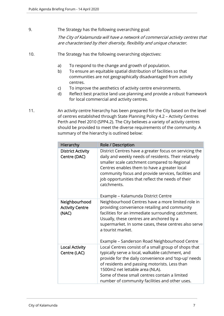9. The Strategy has the following overarching goal:

The City of Kalamunda will have a network of commercial activity centres that are characterised by their diversity, flexibility and unique character.

- 10. The Strategy has the following overarching objectives:
	- a) To respond to the change and growth of population.
	- b) To ensure an equitable spatial distribution of facilities so that communities are not geographically disadvantaged from activity centres.
	- c) To improve the aesthetics of activity centre environments.
	- d) Reflect best practice land use planning and provide a robust framework for local commercial and activity centres.
- 11. An activity centre hierarchy has been prepared for the City based on the level of centres established through State Planning Policy 4.2 – Activity Centres Perth and Peel 2010 (SPP4.2). The City believes a variety of activity centres should be provided to meet the diverse requirements of the community. A summary of the hierarchy is outlined below:

| Hierarchy                                        | Role / Description                                                                                                                                                                                                                                                                                                                                                                 |
|--------------------------------------------------|------------------------------------------------------------------------------------------------------------------------------------------------------------------------------------------------------------------------------------------------------------------------------------------------------------------------------------------------------------------------------------|
| <b>District Activity</b><br>Centre (DAC)         | District Centres have a greater focus on servicing the<br>daily and weekly needs of residents. Their relatively<br>smaller scale catchment compared to Regional<br>Centres enables them to have a greater local<br>community focus and provide services, facilities and<br>job opportunities that reflect the needs of their<br>catchments.<br>Example - Kalamunda District Centre |
| Neighbourhood<br><b>Activity Centre</b><br>(NAC) | Neighbourhood Centres have a more limited role in<br>providing convenience retailing and community<br>facilities for an immediate surrounding catchment.<br>Usually, these centres are anchored by a<br>supermarket. In some cases, these centres also serve<br>a tourist market.<br>Example - Sanderson Road Neighbourhood Centre                                                 |
| <b>Local Activity</b><br>Centre (LAC)            | Local Centres consist of a small group of shops that<br>typically serve a local, walkable catchment, and<br>provide for the daily convenience and 'top-up' needs<br>of residents and passing motorists. Less than<br>1500m2 net lettable area (NLA).<br>Some of these small centres contain a limited<br>number of community facilities and other uses.                            |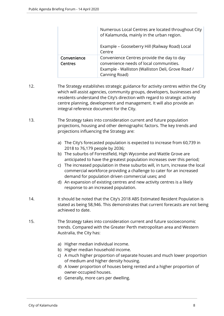|                               | Numerous Local Centres are located throughout City<br>of Kalamunda, mainly in the urban region.<br>Example – Gooseberry Hill (Railway Road) Local<br>Centre |
|-------------------------------|-------------------------------------------------------------------------------------------------------------------------------------------------------------|
| Convenience<br><b>Centres</b> | Convenience Centres provide the day to day<br>convenience needs of local communities.<br>Example - Walliston (Walliston Deli, Grove Road /<br>Canning Road) |

- 12. The Strategy establishes strategic guidance for activity centres within the City which will assist agencies, community groups, developers, businesses and residents understand the City's direction with regard to strategic activity centre planning, development and management. It will also provide an integral reference document for the City.
- 13. The Strategy takes into consideration current and future population projections, housing and other demographic factors. The key trends and projections influencing the Strategy are:
	- a) The City's forecasted population is expected to increase from 60,739 in 2018 to 76,179 people by 2036;
	- b) The suburbs of Forrestfield, High Wycombe and Wattle Grove are anticipated to have the greatest population increases over this period;
	- c) The increased population in these suburbs will, in turn, increase the local commercial workforce providing a challenge to cater for an increased demand for population driven commercial uses; and
	- d) An expansion of existing centres and new activity centres is a likely response to an increased population.
- 14. It should be noted that the City's 2018 ABS Estimated Resident Population is stated as being 58,946. This demonstrates that current forecasts are not being achieved to date.
- 15. The Strategy takes into consideration current and future socioeconomic trends. Compared with the Greater Perth metropolitan area and Western Australia, the City has:
	- a) Higher median individual income.
	- b) Higher median household income.
	- c) A much higher proportion of separate houses and much lower proportion of medium and higher density housing.
	- d) A lower proportion of houses being rented and a higher proportion of owner-occupied houses.
	- e) Generally, more cars per dwelling.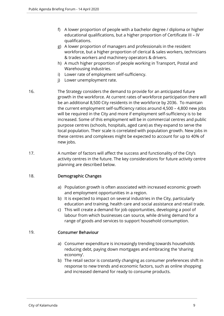- f) A lower proportion of people with a bachelor degree / diploma or higher educational qualifications, but a higher proportion of Certificate III – IV qualifications.
- g) A lower proportion of managers and professionals in the resident workforce, but a higher proportion of clerical & sales workers, technicians & trades workers and machinery operators & drivers.
- h) A much higher proportion of people working in Transport, Postal and Warehousing industries.
- i) Lower rate of employment self-sufficiency.
- j) Lower unemployment rate.
- 16. The Strategy considers the demand to provide for an anticipated future growth in the workforce. At current rates of workforce participation there will be an additional 8,500 City residents in the workforce by 2036. To maintain the current employment self-sufficiency ratios around 4,500 – 4,800 new jobs will be required in the City and more if employment self-sufficiency is to be increased. Some of this employment will be in commercial centres and public purpose centres (schools, hospitals, aged care) as they expand to serve the local population. Their scale is correlated with population growth. New jobs in these centres and complexes might be expected to account for up to 40% of new jobs.
- 17. A number of factors will affect the success and functionality of the City's activity centres in the future. The key considerations for future activity centre planning are described below.

#### 18. Demographic Changes

- a) Population growth is often associated with increased economic growth and employment opportunities in a region.
- b) It is expected to impact on several industries in the City, particularly education and training, health care and social assistance and retail trade.
- c) This will create a demand for job opportunities, developing a pool of labour from which businesses can source, while driving demand for a range of goods and services to support household consumption.

#### 19. Consumer Behaviour

- a) Consumer expenditure is increasingly trending towards households reducing debt, paying down mortgages and embracing the 'sharing economy'.
- b) The retail sector is constantly changing as consumer preferences shift in response to new trends and economic factors, such as online shopping and increased demand for ready to consume products.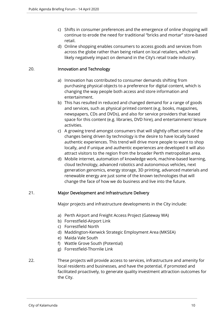- c) Shifts in consumer preferences and the emergence of online shopping will continue to erode the need for traditional "bricks and mortar" store-based retail.
- d) Online shopping enables consumers to access goods and services from across the globe rather than being reliant on local retailers, which will likely negatively impact on demand in the City's retail trade industry.

#### 20. Innovation and Technology

- a) Innovation has contributed to consumer demands shifting from purchasing physical objects to a preference for digital content, which is changing the way people both access and store information and entertainment.
- b) This has resulted in reduced and changed demand for a range of goods and services, such as physical printed content (e.g. books, magazines, newspapers, CDs and DVDs), and also for service providers that leased space for this content (e.g. libraries, DVD hire), and entertainment/ leisure activities.
- c) A growing trend amongst consumers that will slightly offset some of the changes being driven by technology is the desire to have locally based authentic experiences. This trend will drive more people to want to shop locally, and if unique and authentic experiences are developed it will also attract visitors to the region from the broader Perth metropolitan area.
- d) Mobile internet, automation of knowledge work, machine-based learning, cloud technology, advanced robotics and autonomous vehicles, next generation genomics, energy storage, 3D printing, advanced materials and renewable energy are just some of the known technologies that will change the face of how we do business and live into the future.

#### 21. Major Development and Infrastructure Delivery

Major projects and infrastructure developments in the City include:

- a) Perth Airport and Freight Access Project (Gateway WA)
- b) Forrestfield-Airport Link
- c) Forrestfield North
- d) Maddington-Kenwick Strategic Employment Area (MKSEA)
- e) Maida Vale South
- f) Wattle Grove South (Potential)
- g) Forrestfield-Thornlie Link
- 22. These projects will provide access to services, infrastructure and amenity for local residents and businesses, and have the potential, if promoted and facilitated proactively, to generate quality investment attraction outcomes for the City.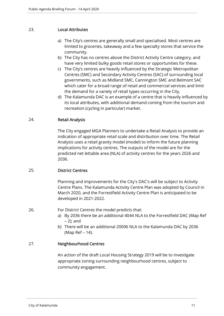#### 23. Local Attributes

- a) The City's centres are generally small and specialised. Most centres are limited to groceries, takeaway and a few specialty stores that service the community.
- b) The City has no centres above the District Activity Centre category, and have very limited bulky goods retail stores or opportunities for these.
- c) The City's centres are heavily influenced by the Strategic Metropolitan Centres (SMC) and Secondary Activity Centres (SAC) of surrounding local governments, such as Midland SMC, Cannington SMC and Belmont SAC which cater for a broad range of retail and commercial services and limit the demand for a variety of retail types occurring in the City.
- d) The Kalamunda DAC is an example of a centre that is heavily influenced by its local attributes, with additional demand coming from the tourism and recreation (cycling in particular) market.

#### 24. Retail Analysis

The City engaged MGA Planners to undertake a Retail Analysis to provide an indication of appropriate retail scale and distribution over time. The Retail Analysis uses a retail gravity model (model) to inform the future planning implications for activity centres. The outputs of the model are for the predicted net lettable area (NLA) of activity centres for the years 2026 and 2036.

#### 25. District Centres

Planning and improvements for the City's DAC's will be subject to Activity Centre Plans. The Kalamunda Activity Centre Plan was adopted by Council in March 2020, and the Forrestfield Activity Centre Plan is anticipated to be developed in 2021-2022.

26. For District Centres the model predicts that:

- a) By 2036 there be an additional 4044 NLA to the Forrestfield DAC (Map Ref – 2); and
- b) There will be an additional 20006 NLA to the Kalamunda DAC by 2036 (Map Ref – 14).

#### 27. Neighbourhood Centres

An action of the draft Local Housing Strategy 2019 will be to investigate appropriate zoning surrounding neighbourhood centres, subject to community engagement.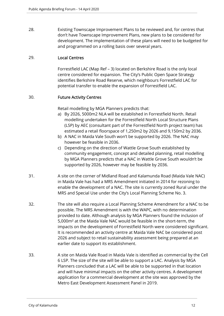28. Existing Townscape Improvement Plans to be reviewed and, for centres that don't have Townscape Improvement Plans, new plans to be considered for development. The implementation of these plans will need to be budgeted for and programmed on a rolling basis over several years.

#### 29. Local Centres

Forrestfield LAC (Map Ref – 3) located on Berkshire Road is the only local centre considered for expansion. The City's Public Open Space Strategy identifies Berkshire Road Reserve, which neighbours Forrestfield LAC for potential transfer to enable the expansion of Forrestfield LAC.

#### 30. Future Activity Centres

Retail modelling by MGA Planners predicts that:

- a) By 2026, 5000m2 NLA will be established in Forrestfield North. Retail modelling undertaken for the Forrestfield North Local Structure Plans (LSP) by AEC (consultant part of the Forrestfield North project team) has estimated a retail floorspace of 1,250m2 by 2026 and 9,150m2 by 2036.
- b) A NAC in Maida Vale South won't be supported by 2026. The NAC may however be feasible in 2036.
- c) Depending on the direction of Wattle Grove South established by community engagement, concept and detailed planning, retail modelling by MGA Planners predicts that a NAC in Wattle Grove South wouldn't be supported by 2026, however may be feasible by 2036.
- 31. A site on the corner of Midland Road and Kalamunda Road (Maida Vale NAC) in Maida Vale has had a MRS Amendment initiated in 2014 for rezoning to enable the development of a NAC. The site is currently zoned Rural under the MRS and Special Use under the City's Local Planning Scheme No. 3.
- 32. The site will also require a Local Planning Scheme Amendment for a NAC to be possible. The MRS Amendment is with the WAPC, with no determination provided to date. Although analysis by MGA Planners found the inclusion of 5,000m² at the Maida Vale NAC would be feasible in the short-term, the impacts on the development of Forrestfield North were considered significant. It is recommended an activity centre at Maida Vale NAC be considered post 2026 and subject to retail sustainability assessment being prepared at an earlier date to support its establishment.
- 33. A site on Maida Vale Road in Maida Vale is identified as commercial by the Cell 6 LSP. The size of the site will be able to support a LAC. Analysis by MGA Planners concluded that a LAC will be able to be supported in that location and will have minimal impacts on the other activity centres. A development application for a commercial development at the site was approved by the Metro East Development Assessment Panel in 2019.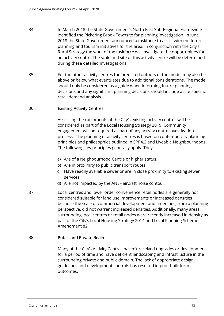- 34. In March 2018 the State Government's North East Sub-Regional Framework identified the Pickering Brook Townsite for planning investigation. In June 2018 the State Government announced a taskforce to assist with the future planning and tourism initiatives for the area. In conjunction with the City's Rural Strategy the work of the taskforce will investigate the opportunities for an activity centre. The scale and site of this activity centre will be determined during these detailed investigations.
- 35. For the other activity centres the predicted outputs of the model may also be above or below what eventuates due to additional considerations. The model should only be considered as a guide when informing future planning decisions and any significant planning decisions should include a site-specific retail demand analysis.

#### 36. Existing Activity Centres

Assessing the catchments of the City's existing activity centres will be considered as part of the Local Housing Strategy 2019. Community engagement will be required as part of any activity centre investigation process. The planning of activity centres is based on contemporary planning principles and philosophies outlined in SPP4.2 and Liveable Neighbourhoods. The following key principles generally apply. They:

- a) Are of a Neighbourhood Centre or higher status.
- b) Are in proximity to public transport routes.
- c) Have readily available sewer or are in close proximity to existing sewer services.
- d) Are not impacted by the ANEF aircraft noise contour.
- 37. Local centres and lower order convenience retail nodes are generally not considered suitable for land use improvements or increased densities because the scale of commercial development and amenities, from a planning perspective, did not warrant increased densities. Additionally, many areas surrounding local centres or retail nodes were recently increased in density as part of the City's Local Housing Strategy 2014 and Local Planning Scheme Amendment 82.

#### 38. Public and Private Realm

Many of the City's Activity Centres haven't received upgrades or development for a period of time and have deficient landscaping and infrastructure in the surrounding private and public domain. The lack of appropriate design guidelines and development controls has resulted in poor built form outcomes.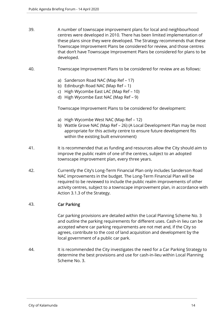- 39. A number of townscape improvement plans for local and neighbourhood centres were developed in 2010. There has been limited implementation of these plans since they were developed. The Strategy recommends that these Townscape Improvement Plans be considered for review, and those centres that don't have Townscape Improvement Plans be considered for plans to be developed.
- 40. Townscape Improvement Plans to be considered for review are as follows:
	- a) Sanderson Road NAC (Map Ref 17)
	- b) Edinburgh Road NAC (Map Ref 1)
	- c) High Wycombe East LAC (Map Ref 10)
	- d) High Wycombe East NAC (Map Ref 9)

Townscape Improvement Plans to be considered for development:

- a) High Wycombe West NAC (Map Ref 12)
- b) Wattle Grove NAC (Map Ref 26) (A Local Development Plan may be most appropriate for this activity centre to ensure future development fits within the existing built environment)
- 41. It is recommended that as funding and resources allow the City should aim to improve the public realm of one of the centres, subject to an adopted townscape improvement plan, every three years.
- 42. Currently the City's Long-Term Financial Plan only includes Sanderson Road NAC improvements in the budget. The Long-Term Financial Plan will be required to be reviewed to include the public realm improvements of other activity centres, subject to a townscape improvement plan, in accordance with Action 3.1.3 of the Strategy.

#### 43. Car Parking

Car parking provisions are detailed within the Local Planning Scheme No. 3 and outline the parking requirements for different uses. Cash-in lieu can be accepted where car parking requirements are not met and, if the City so agrees, contribute to the cost of land acquisition and development by the local government of a public car park.

44. It is recommended the City investigates the need for a Car Parking Strategy to determine the best provisions and use for cash-in-lieu within Local Planning Scheme No. 3.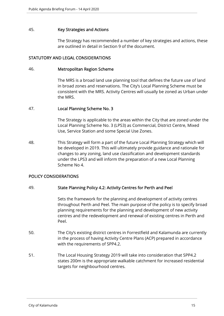#### 45. Key Strategies and Actions

The Strategy has recommended a number of key strategies and actions, these are outlined in detail in Section 9 of the document.

#### STATUTORY AND LEGAL CONSIDERATIONS

#### 46. Metropolitan Region Scheme

The MRS is a broad land use planning tool that defines the future use of land in broad zones and reservations. The City's Local Planning Scheme must be consistent with the MRS. Activity Centres will usually be zoned as Urban under the MRS.

#### 47. Local Planning Scheme No. 3

The Strategy is applicable to the areas within the City that are zoned under the Local Planning Scheme No. 3 (LPS3) as Commercial, District Centre, Mixed Use, Service Station and some Special Use Zones.

48. This Strategy will form a part of the future Local Planning Strategy which will be developed in 2019. This will ultimately provide guidance and rationale for changes to any zoning, land use classification and development standards under the LPS3 and will inform the preparation of a new Local Planning Scheme No 4.

#### POLICY CONSIDERATIONS

#### 49. State Planning Policy 4.2: Activity Centres for Perth and Peel

Sets the framework for the planning and development of activity centres throughout Perth and Peel. The main purpose of the policy is to specify broad planning requirements for the planning and development of new activity centres and the redevelopment and renewal of existing centres in Perth and Peel.

- 50. The City's existing district centres in Forrestfield and Kalamunda are currently in the process of having Activity Centre Plans (ACP) prepared in accordance with the requirements of SPP4.2.
- 51. The Local Housing Strategy 2019 will take into consideration that SPP4.2 states 200m is the appropriate walkable catchment for increased residential targets for neighbourhood centres.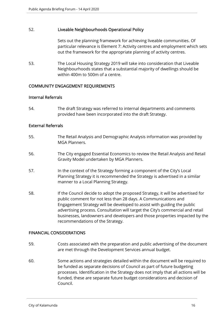#### 52. Liveable Neighbourhoods Operational Policy

Sets out the planning framework for achieving liveable communities. Of particular relevance is Element 7: Activity centres and employment which sets out the framework for the appropriate planning of activity centres.

53. The Local Housing Strategy 2019 will take into consideration that Liveable Neighbourhoods states that a substantial majority of dwellings should be within 400m to 500m of a centre.

#### COMMUNITY ENGAGEMENT REQUIREMENTS

#### Internal Referrals

54. The draft Strategy was referred to internal departments and comments provided have been incorporated into the draft Strategy.

#### External Referrals

- 55. The Retail Analysis and Demographic Analysis information was provided by MGA Planners.
- 56. The City engaged Essential Economics to review the Retail Analysis and Retail Gravity Model undertaken by MGA Planners.
- 57. In the context of the Strategy forming a component of the City's Local Planning Strategy it is recommended the Strategy is advertised in a similar manner to a Local Planning Strategy.
- 58. If the Council decide to adopt the proposed Strategy, it will be advertised for public comment for not less than 28 days. A Communications and Engagement Strategy will be developed to assist with guiding the public advertising process. Consultation will target the City's commercial and retail businesses, landowners and developers and those properties impacted by the recommendations of the Strategy.

#### FINANCIAL CONSIDERATIONS

- 59. Costs associated with the preparation and public advertising of the document are met through the Development Services annual budget.
- 60. Some actions and strategies detailed within the document will be required to be funded as separate decisions of Council as part of future budgeting processes. Identification in the Strategy does not imply that all actions will be funded, these are separate future budget considerations and decision of Council.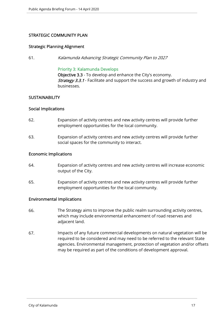#### STRATEGIC COMMUNITY PLAN

#### Strategic Planning Alignment

61. Kalamunda Advancing Strategic Community Plan to 2027

#### Priority 3: Kalamunda Develops

Objective 3.3 - To develop and enhance the City's economy. **Strategy 3.3.1** - Facilitate and support the success and growth of industry and businesses.

#### **SUSTAINABILITY**

#### Social Implications

- 62. Expansion of activity centres and new activity centres will provide further employment opportunities for the local community.
- 63. Expansion of activity centres and new activity centres will provide further social spaces for the community to interact.

#### Economic Implications

- 64. Expansion of activity centres and new activity centres will increase economic output of the City.
- 65. Expansion of activity centres and new activity centres will provide further employment opportunities for the local community.

#### Environmental Implications

- 66. The Strategy aims to improve the public realm surrounding activity centres, which may include environmental enhancement of road reserves and adjacent land.
- 67. Impacts of any future commercial developments on natural vegetation will be required to be considered and may need to be referred to the relevant State agencies. Environmental management, protection of vegetation and/or offsets may be required as part of the conditions of development approval.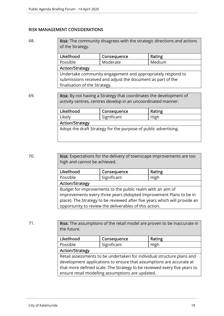#### RISK MANAGEMENT CONSIDERATIONS

68. **Risk:** The community disagrees with the strategic directions and actions of the Strategy.

| Likelihood                                                  | Consequence | Rating |  |  |  |
|-------------------------------------------------------------|-------------|--------|--|--|--|
| Possible                                                    | Moderate    | Medium |  |  |  |
| <b>Action/Strategy</b>                                      |             |        |  |  |  |
| Undertake community engagement and appropriately respond to |             |        |  |  |  |
| submissions received and adjust the document as part of the |             |        |  |  |  |
| finalisation of the Strategy.                               |             |        |  |  |  |

69. **Risk:** By not having a Strategy that coordinates the development of activity centres, centres develop in an uncoordinated manner.

| Likelihood                                                      | Consequence | Rating |  |  |
|-----------------------------------------------------------------|-------------|--------|--|--|
| Likely                                                          | Significant | High   |  |  |
| <b>Action/Strategy</b>                                          |             |        |  |  |
| Adopt the draft Strategy for the purpose of public advertising. |             |        |  |  |
|                                                                 |             |        |  |  |

70. **Risk:** Expectations for the delivery of townscape improvements are too high and cannot be achieved.

| Likelihood                                                                 | Consequence | Rating |  |  |  |  |
|----------------------------------------------------------------------------|-------------|--------|--|--|--|--|
| Possible                                                                   | Significant | High   |  |  |  |  |
| <b>Action/Strategy</b>                                                     |             |        |  |  |  |  |
| Budget for improvements to the public realm with an aim of                 |             |        |  |  |  |  |
| improvements every three years (Adopted Improvement Plans to be in         |             |        |  |  |  |  |
| place). The Strategy to be reviewed after five years which will provide an |             |        |  |  |  |  |
| opportunity to review the deliverables of this action.                     |             |        |  |  |  |  |

71. Risk: The assumptions of the retail model are proven to be inaccurate in the future.

| Likelihood                                                               | Consequence | Rating |  |  |  |
|--------------------------------------------------------------------------|-------------|--------|--|--|--|
| Possible                                                                 | Significant | High   |  |  |  |
| <b>Action/Strategy</b>                                                   |             |        |  |  |  |
| Retail assessments to be undertaken for individual structure plans and   |             |        |  |  |  |
| development applications to ensure that assumptions are accurate at      |             |        |  |  |  |
| that more defined scale. The Strategy to be reviewed every five years to |             |        |  |  |  |
| ensure retail modelling assumptions are updated.                         |             |        |  |  |  |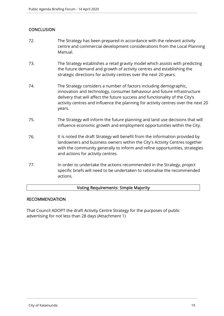#### **CONCLUSION**

- 72. The Strategy has been prepared in accordance with the relevant activity centre and commercial development considerations from the Local Planning Manual.
- 73. The Strategy establishes a retail gravity model which assists with predicting the future demand and growth of activity centres and establishing the strategic directions for activity centres over the next 20 years.
- 74. The Strategy considers a number of factors including demographic, innovation and technology, consumer behaviour and future infrastructure delivery that will affect the future success and functionality of the City's activity centres and influence the planning for activity centres over the next 20 years.
- 75. The Strategy will inform the future planning and land use decisions that will influence economic growth and employment opportunities within the City.
- 76. It is noted the draft Strategy will benefit from the information provided by landowners and business owners within the City's Activity Centres together with the community generally to inform and refine opportunities, strategies and actions for activity centres.
- 77. In order to undertake the actions recommended in the Strategy, project specific briefs will need to be undertaken to rationalise the recommended actions.

#### Voting Requirements: Simple Majority

#### RECOMMENDATION

That Council ADOPT the draft Activity Centre Strategy for the purposes of public advertising for not less than 28 days (Attachment 1)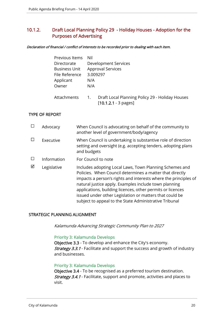### 10.1.2. Draft Local Planning Policy 29 - Holiday Houses - Adoption for the Purposes of Advertising

#### Declaration of financial / conflict of interests to be recorded prior to dealing with each item.

| Previous Items       | Nil |                                                                           |
|----------------------|-----|---------------------------------------------------------------------------|
| Directorate          |     | Development Services                                                      |
| <b>Business Unit</b> |     | <b>Approval Services</b>                                                  |
| File Reference       |     | 3.009297                                                                  |
| Applicant            | N/A |                                                                           |
| Owner                | N/A |                                                                           |
|                      |     |                                                                           |
| Attachments          | 1.  | Draft Local Planning Policy 29 - Holiday Houses<br>$[10.1.2.1 - 3 pages]$ |
|                      |     |                                                                           |

#### TYPE OF REPORT

|   | Advocacy    | When Council is advocating on behalf of the community to<br>another level of government/body/agency                                                                                                                                                                                                                                                                                                                                |
|---|-------------|------------------------------------------------------------------------------------------------------------------------------------------------------------------------------------------------------------------------------------------------------------------------------------------------------------------------------------------------------------------------------------------------------------------------------------|
|   | Executive   | When Council is undertaking is substantive role of direction<br>setting and oversight (e.g. accepting tenders, adopting plans<br>and budgets                                                                                                                                                                                                                                                                                       |
|   | Information | For Council to note                                                                                                                                                                                                                                                                                                                                                                                                                |
| ☑ | Legislative | Includes adopting Local Laws, Town Planning Schemes and<br>Policies. When Council determines a matter that directly<br>impacts a person's rights and interests where the principles of<br>natural justice apply. Examples include town planning<br>applications, building licences, other permits or licences<br>issued under other Legislation or matters that could be<br>subject to appeal to the State Administrative Tribunal |

#### STRATEGIC PLANNING ALIGNMENT

Kalamunda Advancing Strategic Community Plan to 2027

#### Priority 3: Kalamunda Develops

Objective 3.3 - To develop and enhance the City's economy. **Strategy 3.3.1** - Facilitate and support the success and growth of industry and businesses.

#### Priority 3: Kalamunda Develops

Objective 3.4 - To be recognised as a preferred tourism destination. Strategy 3.4.1 - Facilitate, support and promote, activities and places to visit.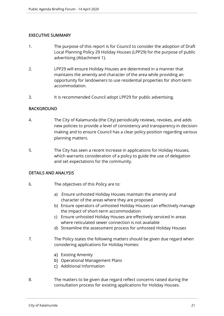#### EXECUTIVE SUMMARY

- 1. The purpose of this report is for Council to consider the adoption of Draft Local Planning Policy 29 Holiday Houses (LPP29) for the purpose of public advertising (Attachment 1).
- 2. LPP29 will ensure Holiday Houses are determined in a manner that maintains the amenity and character of the area while providing an opportunity for landowners to use residential properties for short-term accommodation.
- 3. It is recommended Council adopt LPP29 for public advertising.

#### BACKGROUND

- 4. The City of Kalamunda (the City) periodically reviews, revokes, and adds new policies to provide a level of consistency and transparency in decisionmaking and to ensure Council has a clear policy position regarding various planning matters.
- 5. The City has seen a recent increase in applications for Holiday Houses, which warrants consideration of a policy to guide the use of delegation and set expectations for the community.

#### DETAILS AND ANALYSIS

- 6. The objectives of this Policy are to:
	- a) Ensure unhosted Holiday Houses maintain the amenity and character of the areas where they are proposed
	- b) Ensure operators of unhosted Holiday Houses can effectively manage the impact of short-term accommodation
	- c) Ensure unhosted Holiday Houses are effectively serviced in areas where reticulated sewer connection is not available
	- d) Streamline the assessment process for unhosted Holiday Houses
- 7. The Policy states the following matters should be given due regard when considering applications for Holiday Homes:
	- a) Existing Amenity
	- b) Operational Management Plans
	- c) Additional Information
- 8. The matters to be given due regard reflect concerns raised during the consultation process for existing applications for Holiday Houses.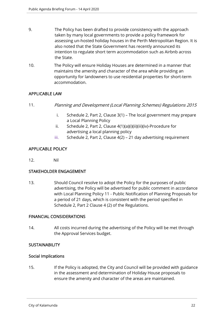- 9. The Policy has been drafted to provide consistency with the approach taken by many local governments to provide a policy framework for assessing un-hosted holiday houses in the Perth Metropolitan Region. It is also noted that the State Government has recently announced its intention to regulate short term accommodation such as Airbnb across the State.
- 10. The Policy will ensure Holiday Houses are determined in a manner that maintains the amenity and character of the area while providing an opportunity for landowners to use residential properties for short-term accommodation.

#### APPLICABLE LAW

- 11. Planning and Development (Local Planning Schemes) Regulations 2015
	- i. Schedule 2, Part 2, Clause 3(1) The local government may prepare a Local Planning Policy
	- ii. Schedule 2, Part 2, Clause 4(1)(a)(i)(ii)(iii)(iv)-Procedure for advertising a local planning policy
	- iii. Schedule 2, Part 2, Clause 4(2) 21 day advertising requirement

#### APPLICABLE POLICY

12. Nil

#### STAKEHOLDER ENGAGEMENT

13. Should Council resolve to adopt the Policy for the purposes of public advertising, the Policy will be advertised for public comment in accordance with Local Planning Policy 11 - Public Notification of Planning Proposals for a period of 21 days, which is consistent with the period specified in Schedule 2, Part 2 Clause 4 (2) of the Regulations.

#### FINANCIAL CONSIDERATIONS

14. All costs incurred during the advertising of the Policy will be met through the Approval Services budget.

#### **SUSTAINABILITY**

#### Social Implications

15. If the Policy is adopted, the City and Council will be provided with guidance in the assessment and determination of Holiday House proposals to ensure the amenity and character of the areas are maintained.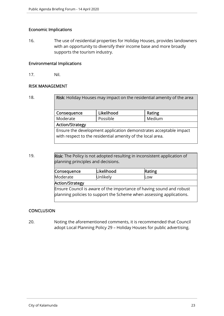#### Economic Implications

16. The use of residential properties for Holiday Houses, provides landowners with an opportunity to diversify their income base and more broadly supports the tourism industry.

#### Environmental Implications

17. Nil.

#### RISK MANAGEMENT

18. **Risk:** Holiday Houses may impact on the residential amenity of the area Consequence | Likelihood | Rating Moderate Rossible Medium Action/Strategy Ensure the development application demonstrates acceptable impact with respect to the residential amenity of the local area.

19. **Risk:** The Policy is not adopted resulting in inconsistent application of planning principles and decisions.

| Consequence                                                          | Likelihood | Rating |  |  |  |
|----------------------------------------------------------------------|------------|--------|--|--|--|
| Moderate                                                             | Unlikely   | Low    |  |  |  |
| Action/Strategy                                                      |            |        |  |  |  |
| Ensure Council is aware of the importance of having sound and robust |            |        |  |  |  |
| planning policies to support the Scheme when assessing applications. |            |        |  |  |  |

#### **CONCLUSION**

20. Noting the aforementioned comments, it is recommended that Council adopt Local Planning Policy 29 – Holiday Houses for public advertising.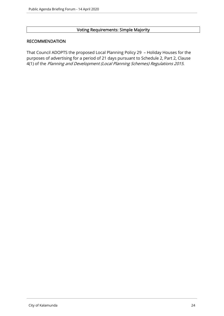#### Voting Requirements: Simple Majority

#### RECOMMENDATION

That Council ADOPTS the proposed Local Planning Policy 29 – Holiday Houses for the purposes of advertising for a period of 21 days pursuant to Schedule 2, Part 2, Clause 4(1) of the Planning and Development (Local Planning Schemes) Regulations 2015.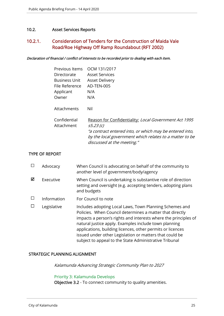#### 10.2. Asset Services Reports

#### 10.2.1. Consideration of Tenders for the Construction of Maida Vale Road/Roe Highway Off Ramp Roundabout (RFT 2002)

Declaration of financial / conflict of interests to be recorded prior to dealing with each item.

| Previous Items             | OCM 131/2017                                                                                                                  |
|----------------------------|-------------------------------------------------------------------------------------------------------------------------------|
| Directorate                | <b>Asset Services</b>                                                                                                         |
| Business Unit              | <b>Asset Delivery</b>                                                                                                         |
| File Reference             | AD-TEN-005                                                                                                                    |
| Applicant                  | N/A                                                                                                                           |
| Owner                      | N/A                                                                                                                           |
| Attachments                | Nil                                                                                                                           |
| Confidential<br>Attachment | Reason for Confidentiality: Local Government Act 1995<br>s5.23 (c)<br>"a contract entered into, or which may be entered into, |
|                            | by the local government which relates to a matter to be<br>discussed at the meeting."                                         |
|                            |                                                                                                                               |

#### TYPE OF REPORT

|   | Advocacy    | When Council is advocating on behalf of the community to<br>another level of government/body/agency                                                                                                                                                                                                                                                                                                                                |
|---|-------------|------------------------------------------------------------------------------------------------------------------------------------------------------------------------------------------------------------------------------------------------------------------------------------------------------------------------------------------------------------------------------------------------------------------------------------|
| ☑ | Executive   | When Council is undertaking is substantive role of direction<br>setting and oversight (e.g. accepting tenders, adopting plans<br>and budgets                                                                                                                                                                                                                                                                                       |
|   | Information | For Council to note                                                                                                                                                                                                                                                                                                                                                                                                                |
|   | Legislative | Includes adopting Local Laws, Town Planning Schemes and<br>Policies. When Council determines a matter that directly<br>impacts a person's rights and interests where the principles of<br>natural justice apply. Examples include town planning<br>applications, building licences, other permits or licences<br>issued under other Legislation or matters that could be<br>subject to appeal to the State Administrative Tribunal |

#### STRATEGIC PLANNING ALIGNMENT

Kalamunda Advancing Strategic Community Plan to 2027

#### Priority 3: Kalamunda Develops

Objective 3.2 - To connect community to quality amenities.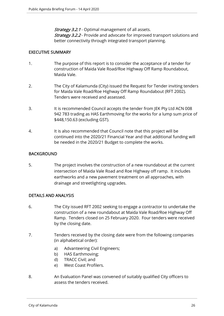**Strategy 3.2.1** - Optimal management of all assets. **Strategy 3.2.2** - Provide and advocate for improved transport solutions and better connectivity through integrated transport planning.

#### EXECUTIVE SUMMARY

- 1. The purpose of this report is to consider the acceptance of a tender for construction of Maida Vale Road/Roe Highway Off Ramp Roundabout, Maida Vale.
- 2. The City of Kalamunda (City) issued the Request for Tender inviting tenders for Maida Vale Road/Roe Highway Off Ramp Roundabout (RFT 2002). Tenders were received and assessed.
- 3. It is recommended Council accepts the tender from JEK Pty Ltd ACN 008 942 783 trading as HAS Earthmoving for the works for a lump sum price of \$448,150.63 (excluding GST).
- 4. It is also recommended that Council note that this project will be continued into the 2020/21 Financial Year and that additional funding will be needed in the 2020/21 Budget to complete the works.

#### **BACKGROUND**

5. The project involves the construction of a new roundabout at the current intersection of Maida Vale Road and Roe Highway off ramp. It includes earthworks and a new pavement treatment on all approaches, with drainage and streetlighting upgrades.

#### DETAILS AND ANALYSIS

- 6. The City issued RFT 2002 seeking to engage a contractor to undertake the construction of a new roundabout at Maida Vale Road/Roe Highway Off Ramp. Tenders closed on 25 February 2020. Four tenders were received by the closing date.
- 7. Tenders received by the closing date were from the following companies (in alphabetical order):
	- a) Advanteering Civil Engineers;
	- b) HAS Earthmoving;
	- d) TRACC Civil; and
	- e) West Coast Profilers.
- 8. An Evaluation Panel was convened of suitably qualified City officers to assess the tenders received.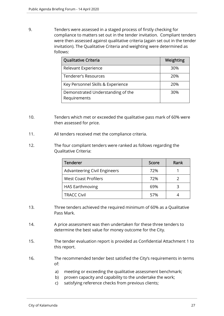9. Tenders were assessed in a staged process of firstly checking for compliance to matters set out in the tender invitation. Compliant tenders were then assessed against qualitative criteria (again set out in the tender invitation). The Qualitative Criteria and weighting were determined as follows:

| Qualitative Criteria                              | Weighting |
|---------------------------------------------------|-----------|
| Relevant Experience                               | 30%       |
| Tenderer's Resources                              | 20%       |
| Key Personnel Skills & Experience                 | 20%       |
| Demonstrated Understanding of the<br>Requirements | 30%       |

- 10. Tenders which met or exceeded the qualitative pass mark of 60% were then assessed for price.
- 11. All tenders received met the compliance criteria.
- 12. The four compliant tenders were ranked as follows regarding the Qualitative Criteria:

| <b>Tenderer</b>                     | Score | Rank |
|-------------------------------------|-------|------|
| <b>Advanteering Civil Engineers</b> | 72%   |      |
| <b>West Coast Profilers</b>         | 72%   |      |
| <b>HAS Earthmoving</b>              | 69%   |      |
| <b>TRACC Civil</b>                  | 57%   |      |

- 13. Three tenders achieved the required minimum of 60% as a Qualitative Pass Mark.
- 14. A price assessment was then undertaken for these three tenders to determine the best value for money outcome for the City.
- 15. The tender evaluation report is provided as Confidential Attachment 1 to this report.
- 16. The recommended tender best satisfied the City's requirements in terms of:
	- a) meeting or exceeding the qualitative assessment benchmark;
	- b) proven capacity and capability to the undertake the work;
	- c) satisfying reference checks from previous clients;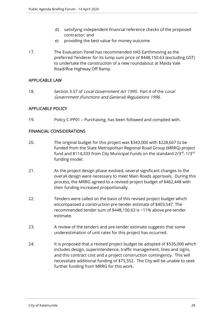- d) satisfying independent financial reference checks of the proposed contractor; and
- e) providing the best value for money outcome.
- 17. The Evaluation Panel has recommended HAS Earthmoving as the preferred Tenderer for its lump sum price of \$448,150.63 (excluding GST) to undertake the construction of a new roundabout at Maida Vale Road/Roe Highway Off Ramp.

#### APPLICABLE LAW

18. Section 3.57 of *Local Government Act 1995*. Part 4 of the *Local* Government (Functions and General) Regulations 1996.

#### APPLICABLE POLICY

19. Policy C-PP01 – Purchasing, has been followed and complied with.

#### FINANCIAL CONSIDERATIONS

- 20. The original budget for this project was \$343,000 with \$228,667 to be funded from the State Metropolitan Regional Road Group (MRRG) project fund and \$114,333 from City Municipal Funds on the standard 2/3<sup>rd</sup>, 1/3<sup>rd</sup> funding model.
- 21. As the project design phase evolved, several significant changes to the overall design were necessary to meet Main Roads approvals. During this process, the MRRG agreed to a revised project budget of \$462,448 with their funding increased proportionally.
- 22. Tenders were called on the basis of this revised project budget which encompassed a construction pre-tender estimate of \$403,547. The recommended tender sum of \$448,150.63 is ~11% above pre-tender estimate.
- 23. A review of the tenders and pre-tender estimate suggests that some underestimation of unit rates for this project has occurred.
- 24. It is proposed that a revised project budget be adopted of \$535,000 which includes design, superintendence, traffic management, lines and signs, and this contract cost and a project construction contingency. This will necessitate additional funding of \$75,552. The City will be unable to seek further funding from MRRG for this work.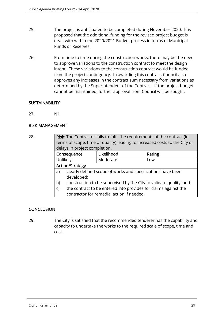- 25. The project is anticipated to be completed during November 2020. It is proposed that the additional funding for the revised project budget is dealt with within the 2020/2021 Budget process in terms of Municipal Funds or Reserves.
- 26. From time to time during the construction works, there may be the need to approve variations to the construction contract to meet the design intent. These variations to the construction contract would be funded from the project contingency. In awarding this contract, Council also approves any increases in the contract sum necessary from variations as determined by the Superintendent of the Contract. If the project budget cannot be maintained, further approval from Council will be sought.

#### **SUSTAINABILITY**

27. Nil.

#### RISK MANAGEMENT

| 28. | Risk: The Contractor fails to fulfil the requirements of the contract (in  |                                                                    |            |        |  |
|-----|----------------------------------------------------------------------------|--------------------------------------------------------------------|------------|--------|--|
|     | terms of scope, time or quality) leading to increased costs to the City or |                                                                    |            |        |  |
|     | delays in project completion.                                              |                                                                    |            |        |  |
|     |                                                                            | Consequence                                                        | Likelihood | Rating |  |
|     | Unlikely                                                                   |                                                                    | Moderate   | Low    |  |
|     | <b>Action/Strategy</b>                                                     |                                                                    |            |        |  |
|     | a)                                                                         | clearly defined scope of works and specifications have been        |            |        |  |
|     |                                                                            | developed;                                                         |            |        |  |
|     | b)                                                                         | construction to be supervised by the City to validate quality; and |            |        |  |
|     | the contract to be entered into provides for claims against the<br>C)      |                                                                    |            |        |  |
|     | contractor for remedial action if needed.                                  |                                                                    |            |        |  |

#### **CONCLUSION**

29. The City is satisfied that the recommended tenderer has the capability and capacity to undertake the works to the required scale of scope, time and cost.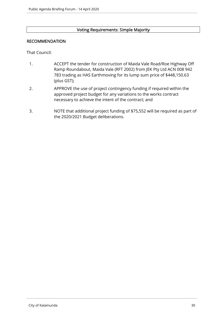# Voting Requirements: Simple Majority

#### RECOMMENDATION

That Council:

- 1. ACCEPT the tender for construction of Maida Vale Road/Roe Highway Off Ramp Roundabout, Maida Vale (RFT 2002) from JEK Pty Ltd ACN 008 942 783 trading as HAS Earthmoving for its lump sum price of \$448,150.63 (plus GST);
- 2. APPROVE the use of project contingency funding if required within the approved project budget for any variations to the works contract necessary to achieve the intent of the contract; and
- 3. NOTE that additional project funding of \$75,552 will be required as part of the 2020/2021 Budget deliberations.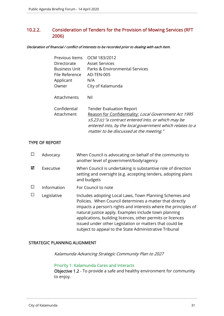## 10.2.2. Consideration of Tenders for the Provision of Mowing Services (RFT 2006)

#### Declaration of financial / conflict of interests to be recorded prior to dealing with each item.

| Previous Items       | OCM 183/2012                                                                                                                                                                                                        |
|----------------------|---------------------------------------------------------------------------------------------------------------------------------------------------------------------------------------------------------------------|
| Directorate          | <b>Asset Services</b>                                                                                                                                                                                               |
| <b>Business Unit</b> | Parks & Environmental Services                                                                                                                                                                                      |
| File Reference       | AD-TEN-005                                                                                                                                                                                                          |
| Applicant            | N/A                                                                                                                                                                                                                 |
| Owner                | City of Kalamunda                                                                                                                                                                                                   |
| Attachments          | Nil                                                                                                                                                                                                                 |
| Confidential         | <b>Tender Evaluation Report</b>                                                                                                                                                                                     |
| Attachment           | Reason for Confidentiality: Local Government Act 1995<br>s5.23 (c) "a contract entered into, or which may be<br>entered into, by the local government which relates to a<br>matter to be discussed at the meeting." |
|                      |                                                                                                                                                                                                                     |

#### TYPE OF REPORT

|   | Advocacy    | When Council is advocating on behalf of the community to<br>another level of government/body/agency                                                                                                                                                                                                                                                                                                                                |
|---|-------------|------------------------------------------------------------------------------------------------------------------------------------------------------------------------------------------------------------------------------------------------------------------------------------------------------------------------------------------------------------------------------------------------------------------------------------|
| ☑ | Executive   | When Council is undertaking is substantive role of direction<br>setting and oversight (e.g. accepting tenders, adopting plans<br>and budgets                                                                                                                                                                                                                                                                                       |
|   | Information | For Council to note                                                                                                                                                                                                                                                                                                                                                                                                                |
|   | Legislative | Includes adopting Local Laws, Town Planning Schemes and<br>Policies. When Council determines a matter that directly<br>impacts a person's rights and interests where the principles of<br>natural justice apply. Examples include town planning<br>applications, building licences, other permits or licences<br>issued under other Legislation or matters that could be<br>subject to appeal to the State Administrative Tribunal |

#### STRATEGIC PLANNING ALIGNMENT

Kalamunda Advancing Strategic Community Plan to 2027

#### Priority 1: Kalamunda Cares and Interacts

Objective 1.2 - To provide a safe and healthy environment for community to enjoy.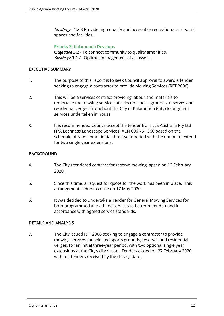**Strategy** - 1.2.3 Provide high quality and accessible recreational and social spaces and facilities.

#### Priority 3: Kalamunda Develops

Objective 3.2 - To connect community to quality amenities. **Strategy 3.2.1** - Optimal management of all assets.

#### EXECUTIVE SUMMARY

- 1. The purpose of this report is to seek Council approval to award a tender seeking to engage a contractor to provide Mowing Services (RFT 2006).
- 2. This will be a services contract providing labour and materials to undertake the mowing services of selected sports grounds, reserves and residential verges throughout the City of Kalamunda (City) to augment services undertaken in house.
- 3. It is recommended Council accept the tender from LLS Australia Pty Ltd (T/A Lochness Landscape Services) ACN 606 751 366 based on the schedule of rates for an initial three-year period with the option to extend for two single year extensions.

#### **BACKGROUND**

- 4. The City's tendered contract for reserve mowing lapsed on 12 February 2020.
- 5. Since this time, a request for quote for the work has been in place. This arrangement is due to cease on 17 May 2020.
- 6. It was decided to undertake a Tender for General Mowing Services for both programmed and ad hoc services to better meet demand in accordance with agreed service standards.

#### DETAILS AND ANALYSIS

7. The City issued RFT 2006 seeking to engage a contractor to provide mowing services for selected sports grounds, reserves and residential verges, for an initial three-year period, with two optional single year extensions at the City's discretion. Tenders closed on 27 February 2020, with ten tenders received by the closing date.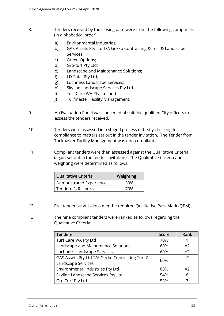- 8. Tenders received by the closing date were from the following companies (in alphabetical order):
	- a) Environmental Industries;
	- b) GAS Assets Pty Ltd T/A Gekko Contracting & Turf & Landscape Services
	- c) Green Options;
	- d) Gro-turf Pty Ltd;
	- e) Landscape and Maintenance Solutions;
	- f) LD Total Pty Ltd;
	- g) Lochness Landscape Services;
	- h) Skyline Landscape Services Pty Ltd
	- i) Turf Care WA Pty Ltd; and
	- j) Turfmaster Facility Management.
- 9. An Evaluation Panel was convened of suitable qualified City officers to assess the tenders received.
- 10. Tenders were assessed in a staged process of firstly checking for compliance to matters set out in the tender invitation. The Tender from Turfmaster Facility Management was non-compliant.
- 11. Compliant tenders were then assessed against the Qualitative Criteria (again set out in the tender invitation). The Qualitative Criteria and weighting were determined as follows:

| <b>Qualitative Criteria</b> | <b>Weighting</b> |
|-----------------------------|------------------|
| Demonstrated Experience     | 30%              |
| Tenderer's Resources        | 70%              |

- 12. Five tender submissions met the required Qualitative Pass Mark (QPM).
- 13. The nine compliant tenders were ranked as follows regarding the Qualitative Criteria:

| Tenderer                                        | <b>Score</b> | Rank |
|-------------------------------------------------|--------------|------|
| Turf Care WA Pty Ltd                            | 70%          |      |
| Landscape and Maintenance Solutions             | 60%          | $=2$ |
| Lochness Landscape Services                     | 60%          | $=2$ |
| GAS Assets Pty Ltd T/A Gecko Contracting Turf & | 60%          | $=2$ |
| Landscape Services                              |              |      |
| Environmental Industries Pty Ltd                | 60%          | $=2$ |
| Skyline Landscape Services Pty Ltd              | 54%          | 6    |
| Gro-Turf Pty Ltd                                | 53%          |      |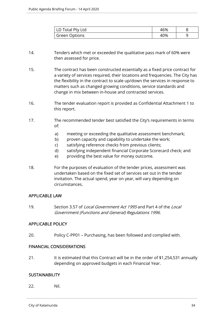| LD Total Pty Ltd | 46% |  |
|------------------|-----|--|
| Green Options    | 40% |  |

- 14. Tenders which met or exceeded the qualitative pass mark of 60% were then assessed for price.
- 15. The contract has been constructed essentially as a fixed price contract for a variety of services required, their locations and frequencies. The City has the flexibility in the contract to scale up/down the services in response to matters such as changed growing conditions, service standards and change in mix between in-house and contracted services.
- 16. The tender evaluation report is provided as Confidential Attachment 1 to this report.
- 17. The recommended tender best satisfied the City's requirements in terms of:
	- a) meeting or exceeding the qualitative assessment benchmark;
	- b) proven capacity and capability to undertake the work;
	- c) satisfying reference checks from previous clients;
	- d) satisfying independent financial Corporate Scorecard check; and
	- e) providing the best value for money outcome.
- 18. For the purposes of evaluation of the tender prices, assessment was undertaken based on the fixed set of services set out in the tender invitation. The actual spend, year on year, will vary depending on circumstances.

#### APPLICABLE LAW

19. Section 3.57 of Local Government Act 1995 and Part 4 of the Local Government (Functions and General) Regulations 1996.

#### APPLICABLE POLICY

20. Policy C-PP01 – Purchasing, has been followed and complied with.

#### FINANCIAL CONSIDERATIONS

21. It is estimated that this Contract will be in the order of \$1,254,531 annually depending on approved budgets in each Financial Year.

#### **SUSTAINABILITY**

22. Nil.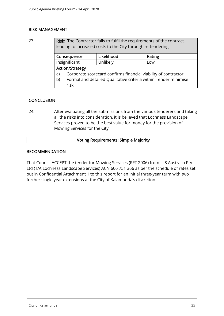#### RISK MANAGEMENT

23. Risk: The Contractor fails to fulfil the requirements of the contract, leading to increased costs to the City through re-tendering.

| Consequence            |                                                                 | Likelihood | Rating |
|------------------------|-----------------------------------------------------------------|------------|--------|
| Insignificant          |                                                                 | Unlikely   | Low    |
| <b>Action/Strategy</b> |                                                                 |            |        |
| a)                     | Corporate scorecard confirms financial viability of contractor. |            |        |
| b)                     | Formal and detailed Qualitative criteria within Tender minimise |            |        |
|                        | risk.                                                           |            |        |

#### **CONCLUSION**

24. After evaluating all the submissions from the various tenderers and taking all the risks into consideration, it is believed that Lochness Landscape Services proved to be the best value for money for the provision of Mowing Services for the City.

#### Voting Requirements: Simple Majority

#### RECOMMENDATION

That Council ACCEPT the tender for Mowing Services (RFT 2006) from LLS Australia Pty Ltd (T/A Lochness Landscape Services) ACN 606 751 366 as per the schedule of rates set out in Confidential Attachment 1 to this report for an initial three-year term with two further single year extensions at the City of Kalamunda's discretion.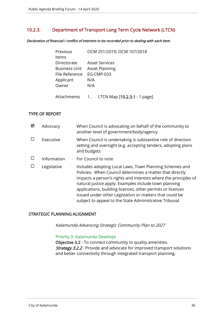#### 10.2.3. Department of Transport Long Term Cycle Network (LTCN)

Declaration of financial / conflict of interests to be recorded prior to dealing with each item.

| Previous                  | OCM 251/2019; OCM 107/2018          |
|---------------------------|-------------------------------------|
| Items                     |                                     |
| Directorate               | <b>Asset Services</b>               |
|                           | <b>Business Unit Asset Planning</b> |
| File Reference EG-CMP-033 |                                     |
| Applicant                 | N/A                                 |
| Owner                     | N/A                                 |
|                           |                                     |

# Attachments 1. LTCN Map [10.2.3.1 - 1 page]

#### TYPE OF REPORT

| ⊠ | Advocacy    | When Council is advocating on behalf of the community to<br>another level of government/body/agency                                                                                                                                                                                                                                                                                                                                |
|---|-------------|------------------------------------------------------------------------------------------------------------------------------------------------------------------------------------------------------------------------------------------------------------------------------------------------------------------------------------------------------------------------------------------------------------------------------------|
|   | Executive   | When Council is undertaking is substantive role of direction<br>setting and oversight (e.g. accepting tenders, adopting plans<br>and budgets                                                                                                                                                                                                                                                                                       |
|   | Information | For Council to note                                                                                                                                                                                                                                                                                                                                                                                                                |
|   | Legislative | Includes adopting Local Laws, Town Planning Schemes and<br>Policies. When Council determines a matter that directly<br>impacts a person's rights and interests where the principles of<br>natural justice apply. Examples include town planning<br>applications, building licences, other permits or licences<br>issued under other Legislation or matters that could be<br>subject to appeal to the State Administrative Tribunal |

#### STRATEGIC PLANNING ALIGNMENT

Kalamunda Advancing Strategic Community Plan to 2027

#### Priority 3: Kalamunda Develops

Objective 3.2 - To connect community to quality amenities. **Strategy 3.2.2** - Provide and advocate for improved transport solutions and better connectivity through integrated transport planning.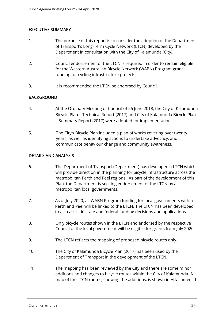#### EXECUTIVE SUMMARY

- 1. The purpose of this report is to consider the adoption of the Department of Transport's Long-Term Cycle Network (LTCN) developed by the Department in consultation with the City of Kalamunda (City).
- 2. Council endorsement of the LTCN is required in order to remain eligible for the Western Australian Bicycle Network (WABN) Program grant funding for cycling infrastructure projects.
- 3. It is recommended the LTCN be endorsed by Council.

#### **BACKGROUND**

- 4. At the Ordinary Meeting of Council of 26 June 2018, the City of Kalamunda Bicycle Plan – Technical Report (2017) and City of Kalamunda Bicycle Plan – Summary Report (2017) were adopted for implementation.
- 5. The City's Bicycle Plan included a plan of works covering over twenty years, as well as identifying actions to undertake advocacy, and communicate behaviour change and community awareness.

#### DETAILS AND ANALYSIS

- 6. The Department of Transport (Department) has developed a LTCN which will provide direction in the planning for bicycle infrastructure across the metropolitan Perth and Peel regions. As part of the development of this Plan, the Department is seeking endorsement of the LTCN by all metropolitan local governments.
- 7. As of July 2020, all WABN Program funding for local governments within Perth and Peel will be linked to the LTCN. The LTCN has been developed to also assist in state and federal funding decisions and applications.
- 8. Only bicycle routes shown in the LTCN and endorsed by the respective Council of the local government will be eligible for grants from July 2020.
- 9. The LTCN reflects the mapping of proposed bicycle routes only.
- 10. The City of Kalamunda Bicycle Plan (2017) has been used by the Department of Transport in the development of the LTCN.
- 11. The mapping has been reviewed by the City and there are some minor additions and changes to bicycle routes within the City of Kalamunda. A map of the LTCN routes, showing the additions, is shown in Attachment 1.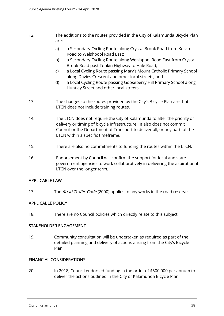- 12. The additions to the routes provided in the City of Kalamunda Bicycle Plan are:
	- a) a Secondary Cycling Route along Crystal Brook Road from Kelvin Road to Welshpool Road East;
	- b) a Secondary Cycling Route along Welshpool Road East from Crystal Brook Road past Tonkin Highway to Hale Road;
	- c) a Local Cycling Route passing Mary's Mount Catholic Primary School along Davies Crescent and other local streets; and
	- d) a Local Cycling Route passing Gooseberry Hill Primary School along Huntley Street and other local streets.
- 13. The changes to the routes provided by the City's Bicycle Plan are that LTCN does not include training routes.
- 14. The LTCN does not require the City of Kalamunda to alter the priority of delivery or timing of bicycle infrastructure. It also does not commit Council or the Department of Transport to deliver all, or any part, of the LTCN within a specific timeframe.
- 15. There are also no commitments to funding the routes within the LTCN.
- 16. Endorsement by Council will confirm the support for local and state government agencies to work collaboratively in delivering the aspirational LTCN over the longer term.

#### APPLICABLE LAW

17. The *Road Traffic Code* (2000) applies to any works in the road reserve.

#### APPLICABLE POLICY

18. There are no Council policies which directly relate to this subject.

#### STAKEHOLDER ENGAGEMENT

19. Community consultation will be undertaken as required as part of the detailed planning and delivery of actions arising from the City's Bicycle Plan.

#### FINANCIAL CONSIDERATIONS

20. In 2018, Council endorsed funding in the order of \$500,000 per annum to deliver the actions outlined in the City of Kalamunda Bicycle Plan.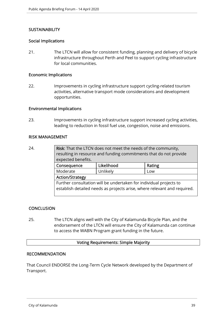#### **SUSTAINABILITY**

#### Social Implications

21. The LTCN will allow for consistent funding, planning and delivery of bicycle infrastructure throughout Perth and Peel to support cycling infrastructure for local communities.

#### Economic Implications

22. Improvements in cycling infrastructure support cycling-related tourism activities, alternative transport mode considerations and development opportunities.

#### Environmental Implications

23. Improvements in cycling infrastructure support increased cycling activities, leading to reduction in fossil fuel use, congestion, noise and emissions.

#### RISK MANAGEMENT

24. **Risk:** That the LTCN does not meet the needs of the community, resulting in resource and funding commitments that do not provide expected benefits. Consequence | Likelihood | Rating Moderate | Unlikely | Low Action/Strategy Further consultation will be undertaken for individual projects to establish detailed needs as projects arise, where relevant and required.

#### **CONCLUSION**

25. The LTCN aligns well with the City of Kalamunda Bicycle Plan, and the endorsement of the LTCN will ensure the City of Kalamunda can continue to access the WABN Program grant funding in the future.

#### Voting Requirements: Simple Majority

#### RECOMMENDATION

That Council ENDORSE the Long-Term Cycle Network developed by the Department of Transport.